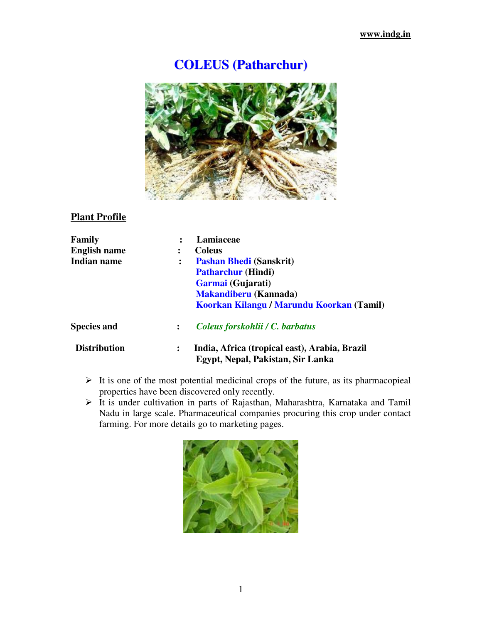# **COLEUS (Patharchur)**



## **Plant Profile**

| Family              |                                                                                         | Lamiaceae                                 |  |  |
|---------------------|-----------------------------------------------------------------------------------------|-------------------------------------------|--|--|
| <b>English name</b> | ፡                                                                                       | <b>Coleus</b>                             |  |  |
| Indian name         |                                                                                         | <b>Pashan Bhedi (Sanskrit)</b>            |  |  |
|                     |                                                                                         | <b>Patharchur (Hindi)</b>                 |  |  |
|                     |                                                                                         | Garmai (Gujarati)                         |  |  |
|                     |                                                                                         | <b>Makandiberu</b> (Kannada)              |  |  |
|                     |                                                                                         | Koorkan Kilangu / Marundu Koorkan (Tamil) |  |  |
| <b>Species and</b>  | $\ddot{\cdot}$                                                                          | Coleus forskohlii / C. barbatus           |  |  |
| <b>Distribution</b> | India, Africa (tropical east), Arabia, Brazil<br>፡<br>Egypt, Nepal, Pakistan, Sir Lanka |                                           |  |  |
|                     |                                                                                         |                                           |  |  |

- $\triangleright$  It is one of the most potential medicinal crops of the future, as its pharmacopieal properties have been discovered only recently.
- > It is under cultivation in parts of Rajasthan, Maharashtra, Karnataka and Tamil Nadu in large scale. Pharmaceutical companies procuring this crop under contact farming. For more details go to marketing pages.

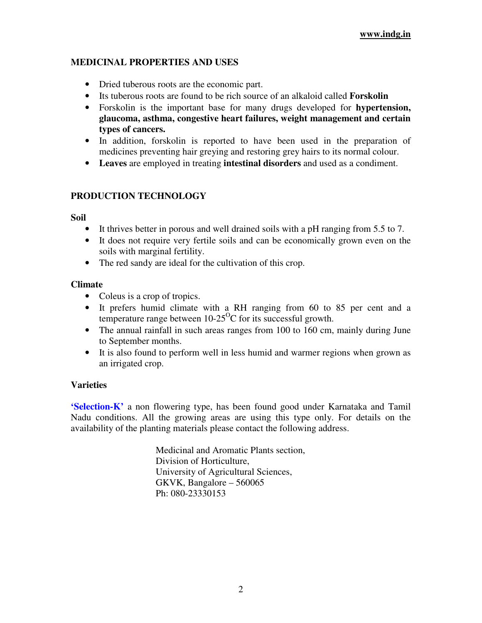## **MEDICINAL PROPERTIES AND USES**

- Dried tuberous roots are the economic part.
- Its tuberous roots are found to be rich source of an alkaloid called **Forskolin**
- Forskolin is the important base for many drugs developed for **hypertension, glaucoma, asthma, congestive heart failures, weight management and certain types of cancers.**
- In addition, forskolin is reported to have been used in the preparation of medicines preventing hair greying and restoring grey hairs to its normal colour.
- **Leaves** are employed in treating **intestinal disorders** and used as a condiment.

## **PRODUCTION TECHNOLOGY**

#### **Soil**

- It thrives better in porous and well drained soils with a pH ranging from 5.5 to 7.
- It does not require very fertile soils and can be economically grown even on the soils with marginal fertility.
- The red sandy are ideal for the cultivation of this crop.

#### **Climate**

- Coleus is a crop of tropics.
- It prefers humid climate with a RH ranging from 60 to 85 per cent and a temperature range between  $10-25^{\circ}$ C for its successful growth.
- The annual rainfall in such areas ranges from 100 to 160 cm, mainly during June to September months.
- It is also found to perform well in less humid and warmer regions when grown as an irrigated crop.

## **Varieties**

**'Selection-K'** a non flowering type, has been found good under Karnataka and Tamil Nadu conditions. All the growing areas are using this type only. For details on the availability of the planting materials please contact the following address.

> Medicinal and Aromatic Plants section, Division of Horticulture, University of Agricultural Sciences, GKVK, Bangalore – 560065 Ph: 080-23330153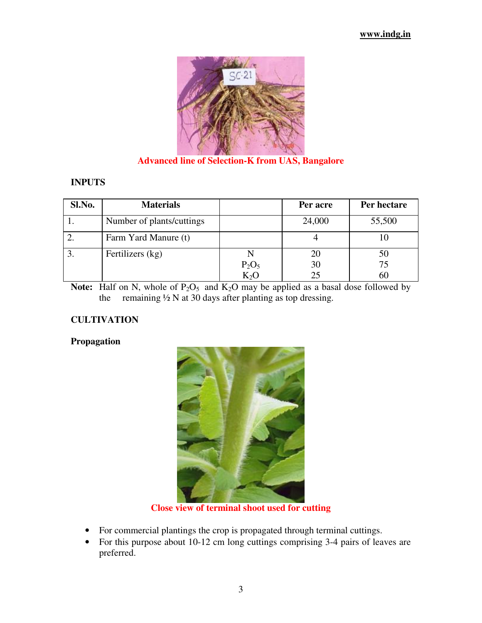

**Advanced line of Selection-K from UAS, Bangalore**

#### **INPUTS**

| Sl.No. | <b>Materials</b>          |                  | Per acre | Per hectare |
|--------|---------------------------|------------------|----------|-------------|
|        | Number of plants/cuttings |                  | 24,000   | 55,500      |
|        | Farm Yard Manure (t)      |                  |          |             |
|        | Fertilizers (kg)          |                  | 20       | 50          |
|        |                           | $P_2O_5$         | 30       | 75          |
|        |                           | K <sub>2</sub> O |          | 60          |

**Note:** Half on N, whole of  $P_2O_5$  and  $K_2O$  may be applied as a basal dose followed by the remaining  $\frac{1}{2}$  N at 30 days after planting as top dressing.

#### **CULTIVATION**

#### **Propagation**



**Close view of terminal shoot used for cutting** 

- For commercial plantings the crop is propagated through terminal cuttings.
- For this purpose about 10-12 cm long cuttings comprising 3-4 pairs of leaves are preferred.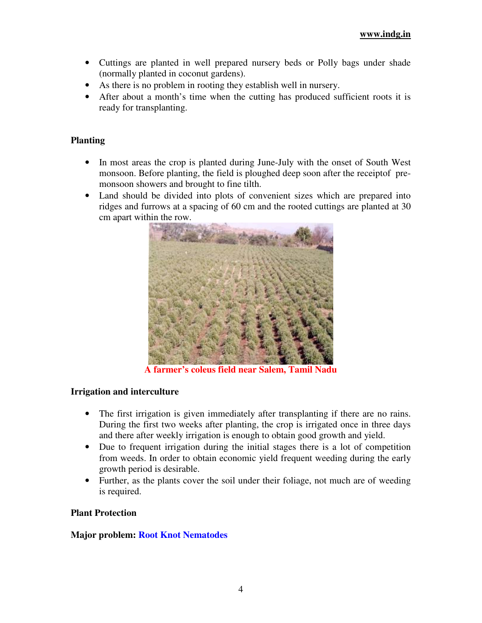- Cuttings are planted in well prepared nursery beds or Polly bags under shade (normally planted in coconut gardens).
- As there is no problem in rooting they establish well in nursery.
- After about a month's time when the cutting has produced sufficient roots it is ready for transplanting.

#### **Planting**

- In most areas the crop is planted during June-July with the onset of South West monsoon. Before planting, the field is ploughed deep soon after the receiptof premonsoon showers and brought to fine tilth.
- Land should be divided into plots of convenient sizes which are prepared into ridges and furrows at a spacing of 60 cm and the rooted cuttings are planted at 30 cm apart within the row.



**A farmer's coleus field near Salem, Tamil Nadu** 

#### **Irrigation and interculture**

- The first irrigation is given immediately after transplanting if there are no rains. During the first two weeks after planting, the crop is irrigated once in three days and there after weekly irrigation is enough to obtain good growth and yield.
- Due to frequent irrigation during the initial stages there is a lot of competition from weeds. In order to obtain economic yield frequent weeding during the early growth period is desirable.
- Further, as the plants cover the soil under their foliage, not much are of weeding is required.

#### **Plant Protection**

#### **Major problem: Root Knot Nematodes**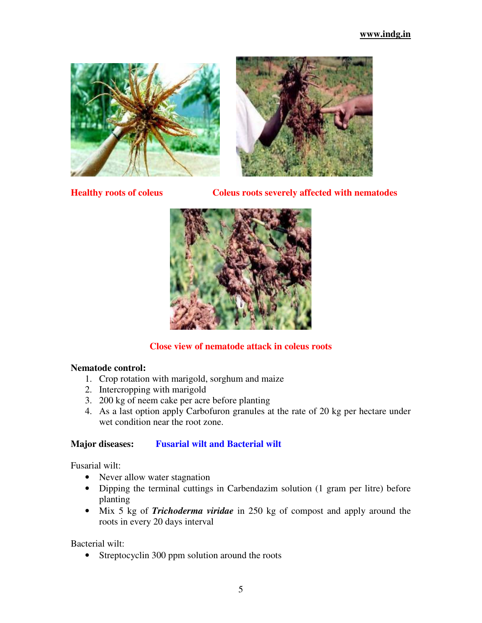



**Healthy roots of coleus Coleus roots severely affected with nematodes** 



## **Close view of nematode attack in coleus roots**

#### **Nematode control:**

- 1. Crop rotation with marigold, sorghum and maize
- 2. Intercropping with marigold
- 3. 200 kg of neem cake per acre before planting
- 4. As a last option apply Carbofuron granules at the rate of 20 kg per hectare under wet condition near the root zone.

#### **Major diseases: Fusarial wilt and Bacterial wilt**

Fusarial wilt:

- Never allow water stagnation
- Dipping the terminal cuttings in Carbendazim solution (1 gram per litre) before planting
- Mix 5 kg of *Trichoderma viridae* in 250 kg of compost and apply around the roots in every 20 days interval

Bacterial wilt:

• Streptocyclin 300 ppm solution around the roots